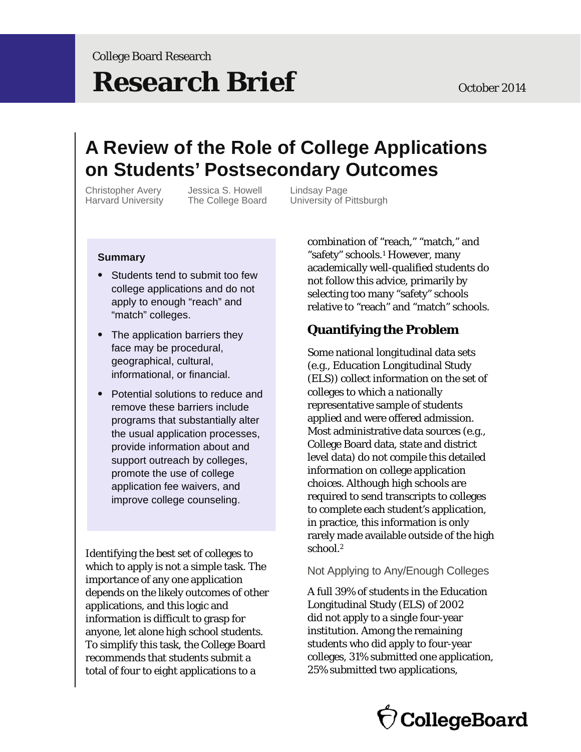# **Research Brief** October 2014

# **A Review of the Role of College Applications on Students' Postsecondary Outcomes**

Christopher Avery Jessica S. Howell Lindsay Page

Harvard University The College Board University of Pittsburgh

#### **Summary**

- Students tend to submit too few college applications and do not apply to enough "reach" and "match" colleges.
- The application barriers they face may be procedural, geographical, cultural, informational, or financial.
- Potential solutions to reduce and remove these barriers include programs that substantially alter the usual application processes, provide information about and support outreach by colleges, promote the use of college application fee waivers, and improve college counseling.

Identifying the best set of colleges to which to apply is not a simple task. The importance of any one application depends on the likely outcomes of other applications, and this logic and information is difficult to grasp for anyone, let alone high school students. To simplify this task, the College Board recommends that students submit a total of four to eight applications to a

combination of "reach," "match," and "safety" schools.1 However, many academically well-qualified students do not follow this advice, primarily by selecting too many "safety" schools relative to "reach" and "match" schools.

# **Quantifying the Problem**

 Some national longitudinal data sets (e.g., Education Longitudinal Study (ELS)) collect information on the set of colleges to which a nationally representative sample of students applied and were offered admission. Most administrative data sources (e.g., College Board data, state and district level data) do not compile this detailed information on college application choices. Although high schools are required to send transcripts to colleges to complete each student's application, in practice, this information is only rarely made available outside of the high school.2

#### Not Applying to Any/Enough Colleges

A full 39% of students in the Education Longitudinal Study (ELS) of 2002 did not apply to a single four-year institution. Among the remaining students who did apply to four-year colleges, 31% submitted one application, 25% submitted two applications,

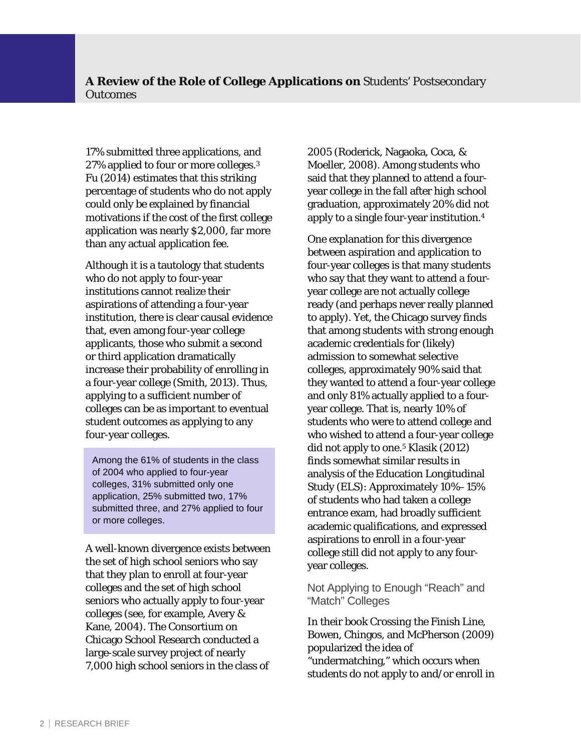17% submitted three applications, and 27% applied to four or more colleges.<sup>3</sup> Fu (2014) estimates that this striking percentage of students who do not apply could only be explained by financial motivations if the cost of the first college application was nearly \$2,000, far more than any actual application fee.

Although it is a tautology that students who do not apply to four-year institutions cannot realize their aspirations of attending a four-year institution, there is clear causal evidence that, even among four-year college applicants, those who submit a second or third application dramatically increase their probability of enrolling in a four-year college (Smith, 2013). Thus, applying to a sufficient number of colleges can be as important to eventual student outcomes as applying to any four-year colleges.

Among the 61% of students in the class of 2004 who applied to four-year colleges, 31% submitted only one application, 25% submitted two, 17% submitted three, and 27% applied to four or more colleges.

A well-known divergence exists between the set of high school seniors who say that they plan to enroll at four-year colleges and the set of high school seniors who actually apply to four-year colleges (see, for example, Avery & Kane, 2004). The Consortium on Chicago School Research conducted a large-scale survey project of nearly 7,000 high school seniors in the class of

2005 (Roderick, Nagaoka, Coca, & Moeller, 2008). Among students who said that they planned to attend a fouryear college in the fall after high school graduation, approximately 20% did not apply to a single four-year institution.4

 that among students with strong enough One explanation for this divergence between aspiration and application to four-year colleges is that many students who say that they want to attend a fouryear college are not actually college ready (and perhaps never really planned to apply). Yet, the Chicago survey finds academic credentials for (likely) admission to somewhat selective colleges, approximately 90% said that they wanted to attend a four-year college and only 81% actually applied to a fouryear college. That is, nearly 10% of students who were to attend college and who wished to attend a four-year college did not apply to one.5 Klasik (2012) finds somewhat similar results in analysis of the Education Longitudinal Study (ELS): Approximately 10%–15% of students who had taken a college entrance exam, had broadly sufficient academic qualifications, and expressed aspirations to enroll in a four-year college still did not apply to any fouryear colleges.

Not Applying to Enough "Reach" and "Match" Colleges

In their book *Crossing the Finish Line*, Bowen, Chingos, and McPherson (2009) popularized the idea of "undermatching," which occurs when students do not apply to and/or enroll in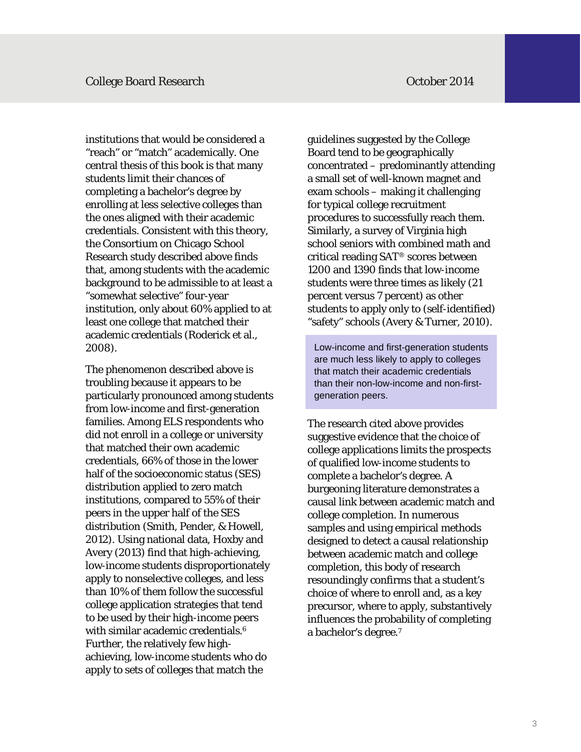institutions that would be considered a "reach" or "match" academically. One central thesis of this book is that many students limit their chances of completing a bachelor's degree by enrolling at less selective colleges than the ones aligned with their academic credentials. Consistent with this theory, the Consortium on Chicago School Research study described above finds that, among students with the academic background to be admissible to at least a "somewhat selective" four-year institution, only about 60% applied to at least one college that matched their academic credentials (Roderick et al., 2008).

 that matched their own academic The phenomenon described above is troubling because it appears to be particularly pronounced among students from low-income and first-generation families. Among ELS respondents who did not enroll in a college or university credentials, 66% of those in the lower half of the socioeconomic status (SES) distribution applied to zero match institutions, compared to 55% of their peers in the upper half of the SES distribution (Smith, Pender, & Howell, 2012). Using national data, Hoxby and Avery (2013) find that high-achieving, low-income students disproportionately apply to nonselective colleges, and less than 10% of them follow the successful college application strategies that tend to be used by their high-income peers with similar academic credentials.<sup>6</sup> Further, the relatively few highachieving, low-income students who do apply to sets of colleges that match the

guidelines suggested by the College Board tend to be geographically concentrated – predominantly attending a small set of well-known magnet and exam schools – making it challenging for typical college recruitment procedures to successfully reach them. Similarly, a survey of Virginia high school seniors with combined math and critical reading SAT® scores between 1200 and 1390 finds that low-income students were three times as likely (21 percent versus 7 percent) as other students to apply only to (self-identified) "safety" schools (Avery & Turner, 2010).

Low-income and first-generation students are much less likely to apply to colleges that match their academic credentials than their non-low-income and non-firstgeneration peers.

The research cited above provides suggestive evidence that the choice of college applications limits the prospects of qualified low-income students to complete a bachelor's degree. A burgeoning literature demonstrates a causal link between academic match and college completion. In numerous samples and using empirical methods designed to detect a causal relationship between academic match and college completion, this body of research resoundingly confirms that a student's choice of where to enroll and, as a key precursor, where to apply, substantively influences the probability of completing a bachelor's degree.7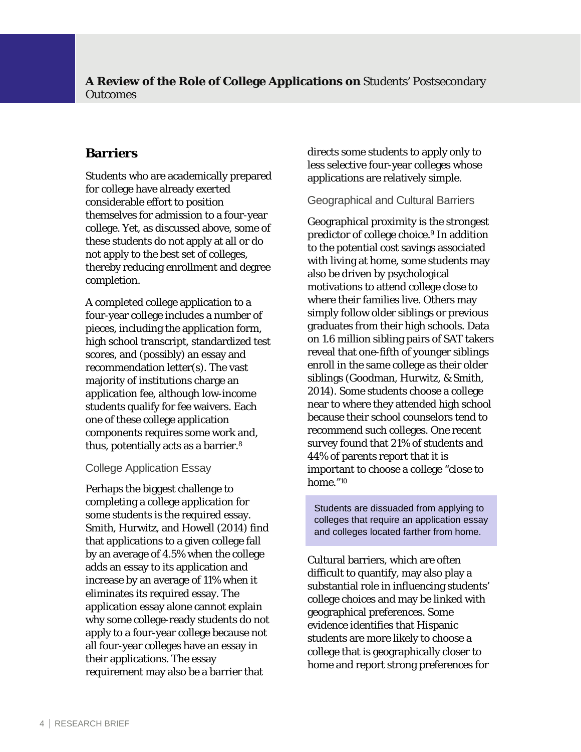# **Barriers**

 thereby reducing enrollment and degree Students who are academically prepared for college have already exerted considerable effort to position themselves for admission to a four-year college. Yet, as discussed above, some of these students do not apply at all or do not apply to the best set of colleges, completion.

 high school transcript, standardized test thus, potentially acts as a barrier.<sup>8</sup> A completed college application to a four-year college includes a number of pieces, including the application form, scores, and (possibly) an essay and recommendation letter(s). The vast majority of institutions charge an application fee, although low-income students qualify for fee waivers. Each one of these college application components requires some work and,

#### College Application Essay

 Smith, Hurwitz, and Howell (2014) find Perhaps the biggest challenge to completing a college application for some students is the required essay. that applications to a given college fall by an average of 4.5% when the college adds an essay to its application and increase by an average of 11% when it eliminates its required essay. The application essay alone cannot explain why some college-ready students do not apply to a four-year college because not all four-year colleges have an essay in their applications. The essay requirement may also be a barrier that

directs some students to apply only to less selective four-year colleges whose applications are relatively simple.

#### Geographical and Cultural Barriers

 where their families live. Others may home."10 Geographical proximity is the strongest predictor of college choice.<sup>9</sup> In addition to the potential cost savings associated with living at home, some students may also be driven by psychological motivations to attend college close to simply follow older siblings or previous graduates from their high schools. Data on 1.6 million sibling pairs of SAT takers reveal that one-fifth of younger siblings enroll in the same college as their older siblings (Goodman, Hurwitz, & Smith, 2014). Some students choose a college near to where they attended high school because their school counselors tend to recommend such colleges. One recent survey found that 21% of students and 44% of parents report that it is important to choose a college "close to

Students are dissuaded from applying to colleges that require an application essay and colleges located farther from home.

Cultural barriers, which are often difficult to quantify, may also play a substantial role in influencing students' college choices and may be linked with geographical preferences. Some evidence identifies that Hispanic students are more likely to choose a college that is geographically closer to home and report strong preferences for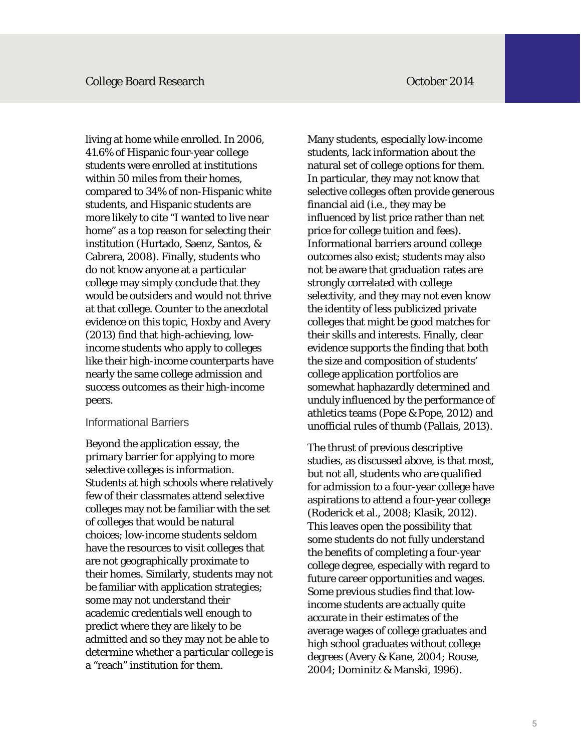living at home while enrolled. In 2006, 41.6% of Hispanic four-year college students were enrolled at institutions within 50 miles from their homes, compared to 34% of non-Hispanic white students, and Hispanic students are more likely to cite "I wanted to live near home" as a top reason for selecting their institution (Hurtado, Saenz, Santos, & Cabrera, 2008). Finally, students who do not know anyone at a particular college may simply conclude that they would be outsiders and would not thrive at that college. Counter to the anecdotal evidence on this topic, Hoxby and Avery (2013) find that high-achieving, lowincome students who apply to colleges like their high-income counterparts have nearly the same college admission and success outcomes as their high-income peers.

#### Informational Barriers

Beyond the application essay, the primary barrier for applying to more selective colleges is information. Students at high schools where relatively few of their classmates attend selective colleges may not be familiar with the set of colleges that would be natural choices; low-income students seldom have the resources to visit colleges that are not geographically proximate to their homes. Similarly, students may not be familiar with application strategies; some may not understand their academic credentials well enough to predict where they are likely to be admitted and so they may not be able to determine whether a particular college is a "reach" institution for them.

Many students, especially low-income students, lack information about the natural set of college options for them. In particular, they may not know that selective colleges often provide generous financial aid (i.e., they may be influenced by list price rather than net price for college tuition and fees). Informational barriers around college outcomes also exist; students may also not be aware that graduation rates are strongly correlated with college selectivity, and they may not even know the identity of less publicized private colleges that might be good matches for their skills and interests. Finally, clear evidence supports the finding that both the size and composition of students' college application portfolios are somewhat haphazardly determined and unduly influenced by the performance of athletics teams (Pope & Pope, 2012) and unofficial rules of thumb (Pallais, 2013).

The thrust of previous descriptive studies, as discussed above, is that most, but not all, students who are qualified for admission to a four-year college have aspirations to attend a four-year college (Roderick et al., 2008; Klasik, 2012). This leaves open the possibility that some students do not fully understand the benefits of completing a four-year college degree, especially with regard to future career opportunities and wages. Some previous studies find that lowincome students are actually quite accurate in their estimates of the average wages of college graduates and high school graduates without college degrees (Avery & Kane, 2004; Rouse, 2004; Dominitz & Manski, 1996).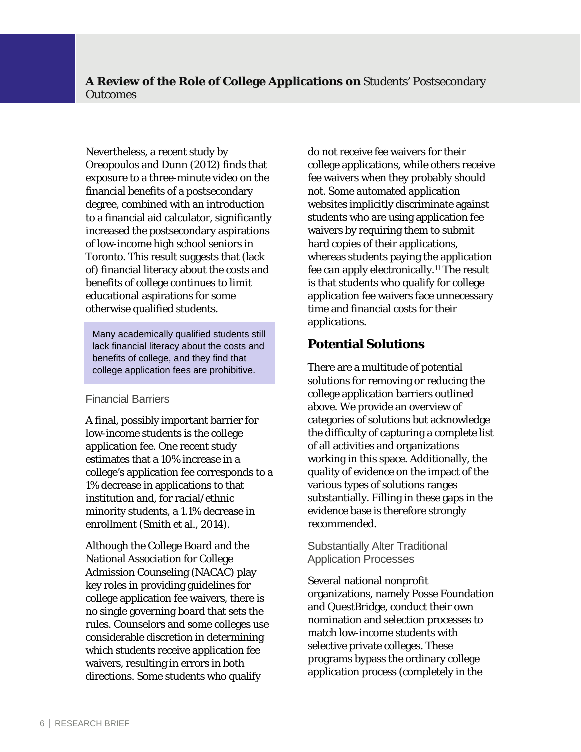Nevertheless, a recent study by Oreopoulos and Dunn (2012) finds that exposure to a three-minute video on the financial benefits of a postsecondary degree, combined with an introduction to a financial aid calculator, significantly increased the postsecondary aspirations of low-income high school seniors in Toronto. This result suggests that (lack of) financial literacy about the costs and benefits of college continues to limit educational aspirations for some otherwise qualified students.

Many academically qualified students still lack financial literacy about the costs and benefits of college, and they find that college application fees are prohibitive.

#### Financial Barriers

 enrollment (Smith et al., 2014). A final, possibly important barrier for low-income students is the college application fee. One recent study estimates that a 10% increase in a college's application fee corresponds to a 1% decrease in applications to that institution and, for racial/ethnic minority students, a 1.1% decrease in

Although the College Board and the National Association for College Admission Counseling (NACAC) play key roles in providing guidelines for college application fee waivers, there is no single governing board that sets the rules. Counselors and some colleges use considerable discretion in determining which students receive application fee waivers, resulting in errors in both directions. Some students who qualify

do not receive fee waivers for their college applications, while others receive fee waivers when they probably should not. Some automated application websites implicitly discriminate against students who are using application fee waivers by requiring them to submit hard copies of their applications, whereas students paying the application fee can apply electronically.11 The result is that students who qualify for college application fee waivers face unnecessary time and financial costs for their applications.

# **Potential Solutions**

There are a multitude of potential solutions for removing or reducing the college application barriers outlined above. We provide an overview of categories of solutions but acknowledge the difficulty of capturing a complete list of all activities and organizations working in this space. Additionally, the quality of evidence on the impact of the various types of solutions ranges substantially. Filling in these gaps in the evidence base is therefore strongly recommended.

#### Substantially Alter Traditional Application Processes

Several national nonprofit organizations, namely Posse Foundation and QuestBridge, conduct their own nomination and selection processes to match low-income students with selective private colleges. These programs bypass the ordinary college application process (completely in the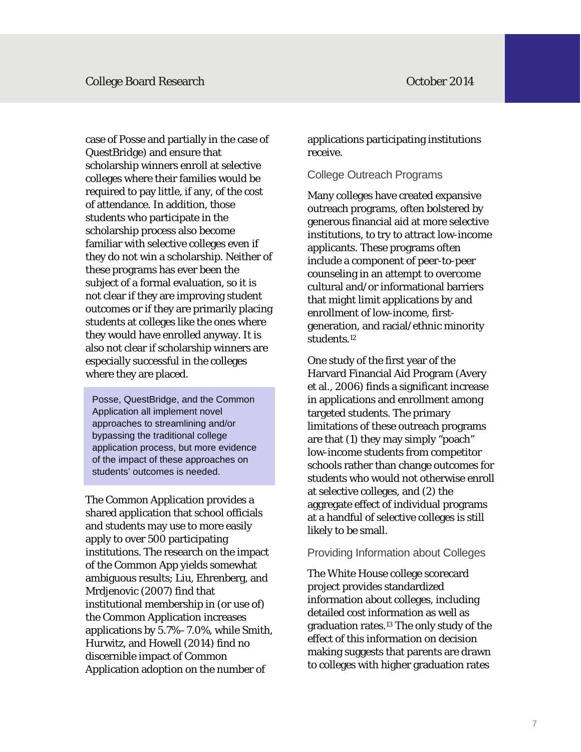familiar with selective colleges even if case of Posse and partially in the case of QuestBridge) and ensure that scholarship winners enroll at selective colleges where their families would be required to pay little, if any, of the cost of attendance. In addition, those students who participate in the scholarship process also become they do not win a scholarship. Neither of these programs has ever been the subject of a formal evaluation, so it is not clear if they are improving student outcomes or if they are primarily placing students at colleges like the ones where they would have enrolled anyway. It is also not clear if scholarship winners are especially successful in the colleges where they are placed.

Posse, QuestBridge, and the Common Application all implement novel approaches to streamlining and/or bypassing the traditional college application process, but more evidence of the impact of these approaches on students' outcomes is needed.

The Common Application provides a shared application that school officials and students may use to more easily apply to over 500 participating institutions. The research on the impact of the Common App yields somewhat ambiguous results; Liu, Ehrenberg, and Mrdjenovic (2007) find that institutional membership in (or use of) the Common Application increases applications by 5.7%–7.0%, while Smith, Hurwitz, and Howell (2014) find no discernible impact of Common Application adoption on the number of

applications participating institutions receive.

#### College Outreach Programs

 students.12 Many colleges have created expansive outreach programs, often bolstered by generous financial aid at more selective institutions, to try to attract low-income applicants. These programs often include a component of peer-to-peer counseling in an attempt to overcome cultural and/or informational barriers that might limit applications by and enrollment of low-income, firstgeneration, and racial/ethnic minority

One study of the first year of the Harvard Financial Aid Program (Avery et al., 2006) finds a significant increase in applications and enrollment among targeted students. The primary limitations of these outreach programs are that (1) they may simply "poach" low-income students from competitor schools rather than change outcomes for students who would not otherwise enroll at selective colleges, and (2) the aggregate effect of individual programs at a handful of selective colleges is still likely to be small.

#### Providing Information about Colleges

The White House college scorecard project provides standardized information about colleges, including detailed cost information as well as graduation rates.13 The only study of the effect of this information on decision making suggests that parents are drawn to colleges with higher graduation rates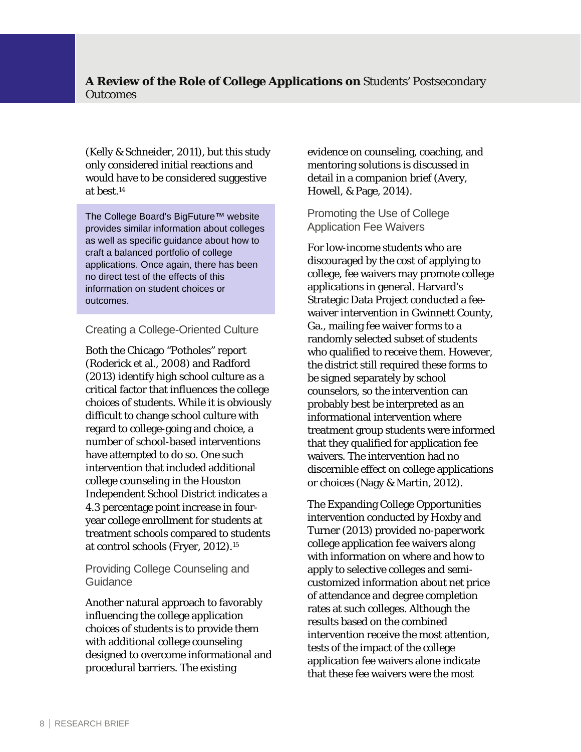(Kelly & Schneider, 2011), but this study only considered initial reactions and would have to be considered suggestive at best.14

The College Board's BigFuture™ website provides similar information about colleges as well as specific guidance about how to craft a balanced portfolio of college applications. Once again, there has been no direct test of the effects of this information on student choices or outcomes.

#### Creating a College-Oriented Culture

 at control schools (Fryer, 2012).15 Both the Chicago "Potholes" report (Roderick et al., 2008) and Radford (2013) identify high school culture as a critical factor that influences the college choices of students. While it is obviously difficult to change school culture with regard to college-going and choice, a number of school-based interventions have attempted to do so. One such intervention that included additional college counseling in the Houston Independent School District indicates a 4.3 percentage point increase in fouryear college enrollment for students at treatment schools compared to students

#### Providing College Counseling and Guidance

Another natural approach to favorably influencing the college application choices of students is to provide them with additional college counseling designed to overcome informational and procedural barriers. The existing

evidence on counseling, coaching, and mentoring solutions is discussed in detail in a companion brief (Avery, Howell, & Page, 2014).

Promoting the Use of College Application Fee Waivers

For low-income students who are discouraged by the cost of applying to college, fee waivers may promote college applications in general. Harvard's Strategic Data Project conducted a feewaiver intervention in Gwinnett County, Ga., mailing fee waiver forms to a randomly selected subset of students who qualified to receive them. However, the district still required these forms to be signed separately by school counselors, so the intervention can probably best be interpreted as an informational intervention where treatment group students were informed that they qualified for application fee waivers. The intervention had no discernible effect on college applications or choices (Nagy & Martin, 2012).

The Expanding College Opportunities intervention conducted by Hoxby and Turner (2013) provided no-paperwork college application fee waivers along with information on where and how to apply to selective colleges and semicustomized information about net price of attendance and degree completion rates at such colleges. Although the results based on the combined intervention receive the most attention, tests of the impact of the college application fee waivers alone indicate that these fee waivers were the most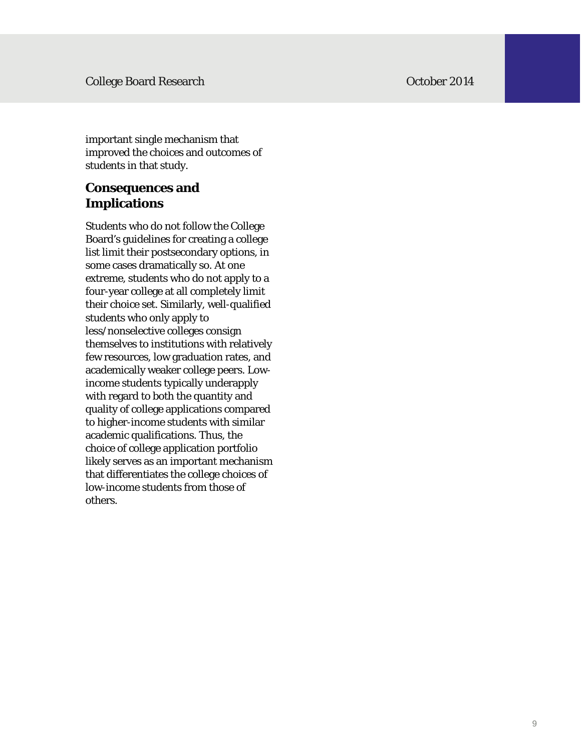important single mechanism that improved the choices and outcomes of students in that study.

# **Consequences and Implications**

Students who do not follow the College Board's guidelines for creating a college list limit their postsecondary options, in some cases dramatically so. At one extreme, students who do not apply to a four-year college at all completely limit their choice set. Similarly, well-qualified students who only apply to less/nonselective colleges consign themselves to institutions with relatively few resources, low graduation rates, and academically weaker college peers. Lowincome students typically underapply with regard to both the quantity and quality of college applications compared to higher-income students with similar academic qualifications. Thus, the choice of college application portfolio likely serves as an important mechanism that differentiates the college choices of low-income students from those of others.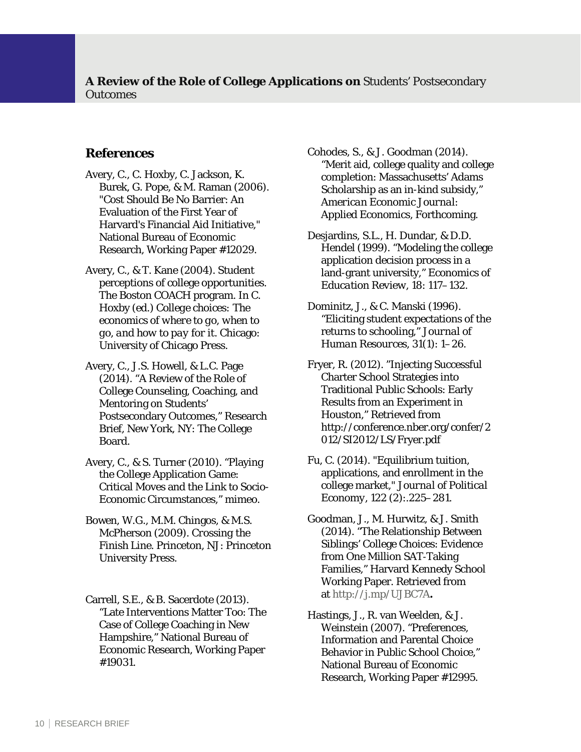#### **References**

- Avery, C., C. Hoxby, C. Jackson, K. Burek, G. Pope, & M. Raman (2006). "Cost Should Be No Barrier: An Evaluation of the First Year of Harvard's Financial Aid Initiative," National Bureau of Economic Research, Working Paper #12029.
- Avery, C., & T. Kane (2004). Student perceptions of college opportunities. The Boston COACH program. In C. Hoxby (ed.) *College choices: The economics of where to go, when to go, and how to pay for it*. Chicago: University of Chicago Press.
- Avery, C., J.S. Howell, & L.C. Page (2014). "A Review of the Role of College Counseling, Coaching, and Mentoring on Students' Postsecondary Outcomes," Research Brief, New York, NY: The College Board.
- Avery, C., & S. Turner (2010). "Playing the College Application Game: Critical Moves and the Link to Socio-Economic Circumstances," mimeo.
- Bowen, W.G., M.M. Chingos, & M.S. McPherson (2009). *Crossing the Finish Line*. Princeton, NJ: Princeton University Press.
- Carrell, S.E., & B. Sacerdote (2013). "Late Interventions Matter Too: The Case of College Coaching in New Hampshire," National Bureau of Economic Research, Working Paper #19031.
- Cohodes, S., & J. Goodman (2014). "Merit aid, college quality and college completion: Massachusetts' Adams Scholarship as an in-kind subsidy," *American Economic Journal: Applied Economics*, Forthcoming.
- Desjardins, S.L., H. Dundar, & D.D. Hendel (1999). "Modeling the college application decision process in a land-grant university," *Economics of Education Review, 18*: 117–132.
- Dominitz, J., & C. Manski (1996). "Eliciting student expectations of the returns to schooling," *Journal of Human Resources*, *31*(1): 1–26.
- Fryer, R. (2012). "Injecting Successful Charter School Strategies into Traditional Public Schools: Early Results from an Experiment in Houston," Retrieved from [http://conference.nber.org/confer/2](http://conference.nber.org/confer/2012/SI2012/LS/Fryer.pdf) 012/SI2012/LS/Fryer.pdf
- Fu, C. (2014). "Equilibrium tuition, applications, and enrollment in the college market," *Journal of Political Economy*, *122* (2):.225–281.
- Goodman, J., M. Hurwitz, & J. Smith (2014). "The Relationship Between Siblings' College Choices: Evidence from One Million SAT‐Taking Families," Harvard Kennedy School Working Paper. Retrieved from at http://j.mp/UJBC7A**.**
- Hastings, J., R. van Weelden, & J. Weinstein (2007). "Preferences, Information and Parental Choice Behavior in Public School Choice," National Bureau of Economic Research, Working Paper #12995.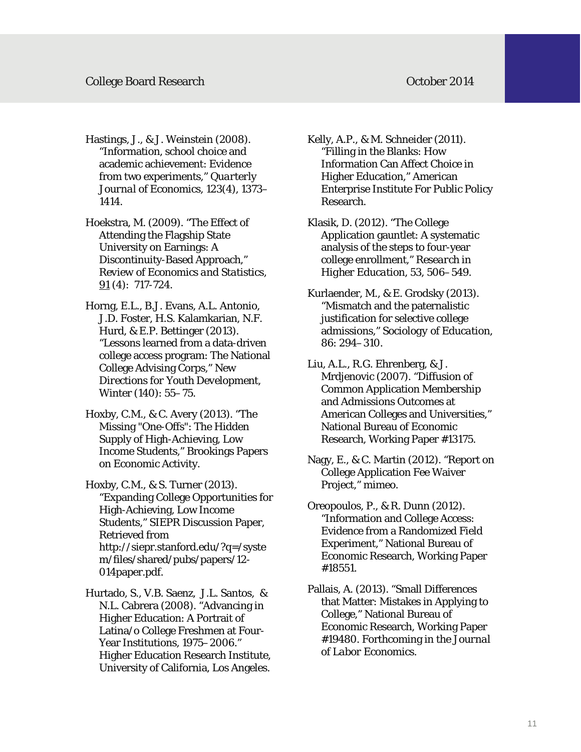#### College Board Research **College Board Research October 2014**

 academic achievement: Evidence Hastings, J., & J. Weinstein (2008). "Information, school choice and from two experiments," *Quarterly Journal of Economics*, *123*(4), 1373– 1414.

Hoekstra, M. (2009). "The Effect of Attending the Flagship State University on Earnings: A Discontinuity-Based Approach," *Review of Economics and Statistics*, 91 (4): 717-724.

- Horng, E.L., B.J. Evans, A.L. Antonio, J.D. Foster, H.S. Kalamkarian, N.F. Hurd, & E.P. Bettinger (2013). "Lessons learned from a data-driven college access program: The National College Advising Corps," *New Directions for Youth Development*, Winter (140): 55–75.
- Hoxby, C.M., & C. Avery (2013). "The Missing "One-Offs": The Hidden Supply of High-Achieving, Low Income Students," Brookings Papers on Economic Activity.

Hoxby, C.M., & S. Turner (2013). "Expanding College Opportunities for High-Achieving, Low Income Students," SIEPR Discussion Paper, Retrieved from [http://siepr.stanford.edu/?q=/syste](http://siepr.stanford.edu/?q=/system/files/shared/pubs/papers/12014paper.pdf.) m/files/shared/pubs/papers/12 014paper.pdf.

Hurtado, S., V.B. Saenz, J.L. Santos, & N.L. Cabrera (2008). "Advancing in Higher Education: A Portrait of Latina/o College Freshmen at Four-Year Institutions, 1975–2006." Higher Education Research Institute, University of California, Los Angeles.

Kelly, A.P., & M. Schneider (2011). "Filling in the Blanks: How Information Can Affect Choice in Higher Education," American Enterprise Institute For Public Policy Research.

Klasik, D. (2012). "The College Application gauntlet: A systematic analysis of the steps to four-year college enrollment," *Research in Higher Education, 53*, 506–549.

Kurlaender, M., & E. Grodsky (2013). "Mismatch and the paternalistic justification for selective college admissions," *Sociology of Education*, *86*: 294–310.

Liu, A.L., R.G. Ehrenberg, & J. Mrdjenovic (2007). "Diffusion of Common Application Membership and Admissions Outcomes at American Colleges and Universities," National Bureau of Economic Research, Working Paper #13175.

Nagy, E., & C. Martin (2012). "Report on College Application Fee Waiver Project," mimeo.

Oreopoulos, P., & R. Dunn (2012). "Information and College Access: Evidence from a Randomized Field Experiment," National Bureau of Economic Research, Working Paper #18551.

Pallais, A. (2013). "Small Differences that Matter: Mistakes in Applying to College," National Bureau of Economic Research, Working Paper #19480. Forthcoming in the *Journal of Labor Economics*.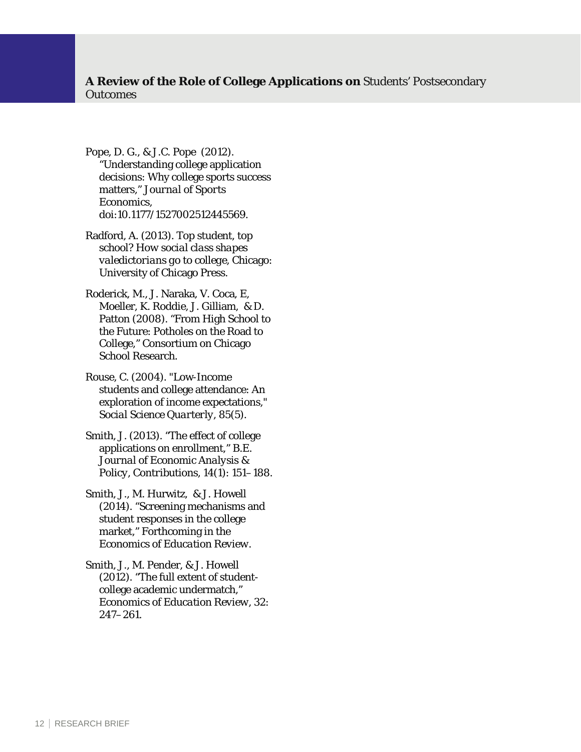- Pope, D. G., & J.C. Pope (2012). "Understanding college application decisions: Why college sports success matters," *Journal of Sports Economics*, doi:10.1177/1527002512445569.
- Radford, A. (2013). *Top student, top school? How social class shapes valedictorians go to college*, Chicago: University of Chicago Press.
- Roderick, M., J. Naraka, V. Coca, E, Moeller, K. Roddie, J. Gilliam, & D. Patton (2008). "From High School to the Future: Potholes on the Road to College," Consortium on Chicago School Research.

Rouse, C. (2004). "Low-Income students and college attendance: An exploration of income expectations," *Social Science Quarterly*, *85*(5).

Smith, J. (2013). "The effect of college applications on enrollment," *B.E. Journal of Economic Analysis & Policy, Contributions*, *14*(1): 151–188.

 Smith, J., M. Hurwitz, & J. Howell (2014). "Screening mechanisms and student responses in the college market," Forthcoming in the *Economics of Education Review*.

Smith, J., M. Pender, & J. Howell (2012). "The full extent of studentcollege academic undermatch," *Economics of Education Review*, *32*: 247–261.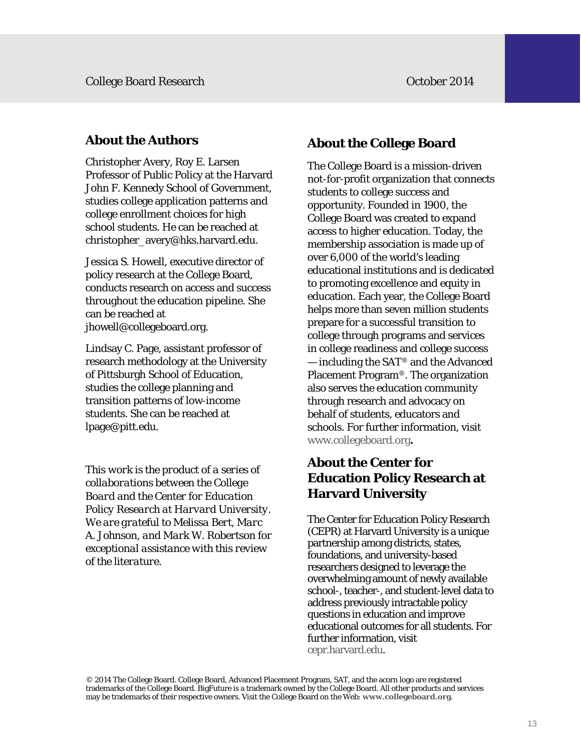### **About the Authors**

 Christopher Avery, Roy E. Larsen Professor of Public Policy at the Harvard John F. Kennedy School of Government, studies college application patterns and college enrollment choices for high school students. He can be reached at christopher\_avery@hks.harvard.edu.

Jessica S. Howell, executive director of policy research at the College Board, conducts research on access and success throughout the education pipeline. She can be reached at jhowell@collegeboard.org.

Lindsay C. Page, assistant professor of research methodology at the University of Pittsburgh School of Education, studies the college planning and transition patterns of low-income students. She can be reached at lpage@pitt.edu.

*This work is the product of a series of collaborations between the College Board and the Center for Education Policy Research at Harvard University. We are grateful to Melissa Bert, Marc A. Johnson, and Mark W. Robertson for exceptional assistance with this review of the literature.* 

# **About the College Board**

www.collegeboard.org. The College Board is a mission-driven not-for-profit organization that connects students to college success and opportunity. Founded in 1900, the College Board was created to expand access to higher education. Today, the membership association is made up of over 6,000 of the world's leading educational institutions and is dedicated to promoting excellence and equity in education. Each year, the College Board helps more than seven million students prepare for a successful transition to college through programs and services in college readiness and college success — including the SAT® and the Advanced Placement Program®. The organization also serves the education community through research and advocacy on behalf of students, educators and schools. For further information, visit

# About the Center for **Education Policy Research at Harvard University**

The Center for Education Policy Research (CEPR) at Harvard University is a unique partnership among districts, states, foundations, and university-based researchers designed to leverage the overwhelming amount of newly available school-, teacher-, and student-level data to address previously intractable policy questions in education and improve educational outcomes for all students. For further information, visit [cepr.harvard.edu.](http://cepr.harvard.edu.)

 © 2014 The College Board. College Board, Advanced Placement Program, SAT, and the acorn logo are registered trademarks of the College Board. BigFuture is a trademark owned by the College Board. All other products and services may be trademarks of their respective owners. Visit the College Board on the Web: **[www.collegeboard.org](http://www.collegeboard.org.)**.